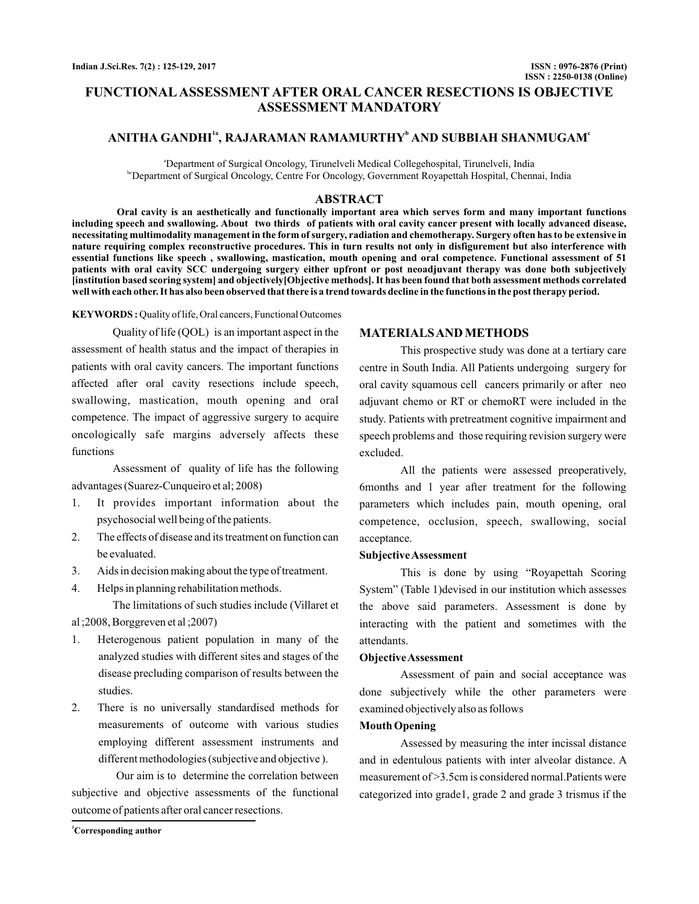# **FUNCTIONAL ASSESSMENT AFTER ORAL CANCER RESECTIONS IS OBJECTIVE ASSESSMENT MANDATORY**

# $\bold{A}\bold{N}$ ITHA GANDHI $^{\text{1a}}, \bold{R}\bold{A}\bold{J}\bold{A}\bold{R}\bold{A}\bold{M}\bold{A}\bold{N}$   $\bold{R}\bold{A}\bold{M}\bold{M}\bold{U}\bold{R}\bold{T}\bold{H}\bold{Y}^{\text{b}}\bold{A}\bold{N}\bold{D}$   $\bold{S}\bold{U}\bold{B}\bold{B}\bold{I}\bold{A}\bold{H}$   $\bold{S}\bold{H}\bold{A}\bold{N}\bold{M}\bold{U}\bold{G}\bold{A}\bold{M}^{\text{c}}$

a Department of Surgical Oncology, Tirunelveli Medical Collegehospital, Tirunelveli, India <sup>bc</sup>Department of Surgical Oncology, Centre For Oncology, Government Royapettah Hospital, Chennai, India

# **ABSTRACT**

**Oral cavity is an aesthetically and functionally important area which serves form and many important functions including speech and swallowing. About two thirds of patients with oral cavity cancer present with locally advanced disease, necessitating multimodality management in the form of surgery, radiation and chemotherapy. Surgery often has to be extensive in nature requiring complex reconstructive procedures. This in turn results not only in disfigurement but also interference with essential functions like speech , swallowing, mastication, mouth opening and oral competence. Functional assessment of 51 patients with oral cavity SCC undergoing surgery either upfront or post neoadjuvant therapy was done both subjectively [institution based scoring system] and objectively[Objective methods]. It has been found that both assessment methods correlated well with each other. It has also been observed that there is a trend towards decline in the functions in the post therapy period.**

KEYWORDS: Quality of life, Oral cancers, Functional Outcomes

Quality of life (QOL) is an important aspect in the assessment of health status and the impact of therapies in patients with oral cavity cancers. The important functions affected after oral cavity resections include speech, swallowing, mastication, mouth opening and oral competence. The impact of aggressive surgery to acquire oncologically safe margins adversely affects these functions

Assessment of quality of life has the following advantages (Suarez-Cunqueiro et al; 2008)

- 1. It provides important information about the psychosocial well being of the patients.
- 2. The effects of disease and its treatment on function can be evaluated.
- 3. Aids in decision making about the type of treatment.
- 4. Helps in planning rehabilitation methods.

The limitations of such studies include (Villaret et al ;2008, Borggreven et al ;2007)

- 1. Heterogenous patient population in many of the analyzed studies with different sites and stages of the disease precluding comparison of results between the studies.
- 2. There is no universally standardised methods for measurements of outcome with various studies employing different assessment instruments and different methodologies (subjective and objective ).

Our aim is to determine the correlation between subjective and objective assessments of the functional outcome of patients after oral cancer resections.

**MATERIALSAND METHODS**

This prospective study was done at a tertiary care centre in South India. All Patients undergoing surgery for oral cavity squamous cell cancers primarily or after neo adjuvant chemo or RT or chemoRT were included in the study. Patients with pretreatment cognitive impairment and speech problems and those requiring revision surgery were excluded.

All the patients were assessed preoperatively, 6months and 1 year after treatment for the following parameters which includes pain, mouth opening, oral competence, occlusion, speech, swallowing, social acceptance.

### **SubjectiveAssessment**

This is done by using "Royapettah Scoring System" (Table 1)devised in our institution which assesses the above said parameters. Assessment is done by interacting with the patient and sometimes with the attendants.

## **ObjectiveAssessment**

Assessment of pain and social acceptance was done subjectively while the other parameters were examined objectively also as follows

#### **Mouth Opening**

Assessed by measuring the inter incissal distance and in edentulous patients with inter alveolar distance. A measurement of >3.5cm is considered normal.Patients were categorized into grade1, grade 2 and grade 3 trismus if the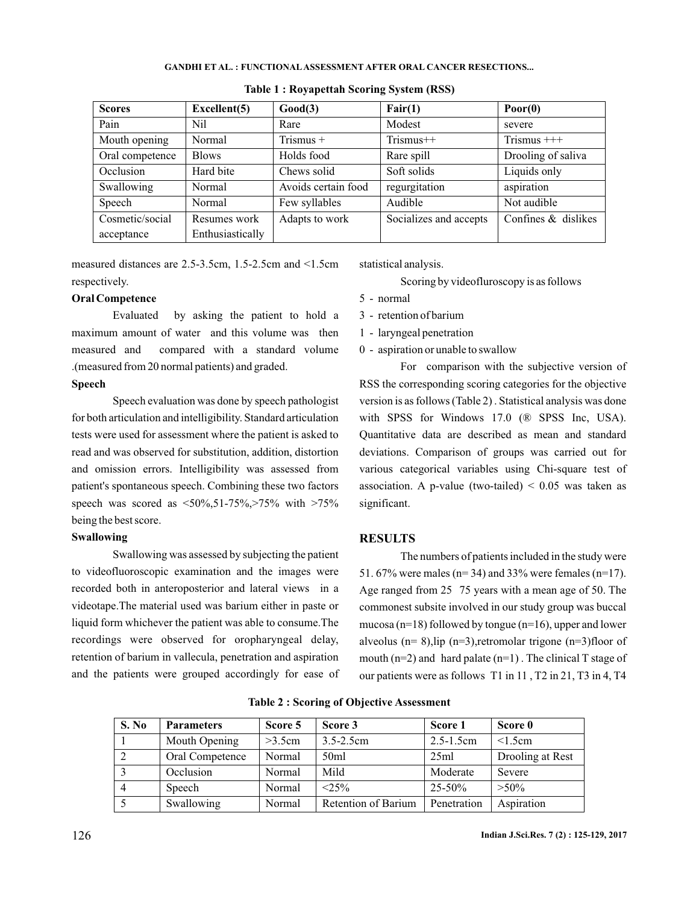#### **GANDHI ET AL. : FUNCTIONAL ASSESSMENT AFTER ORAL CANCER RESECTIONS...**

| <b>Scores</b>   | Excellent(5)     | Good(3)             | Fair(1)                | $\textbf{Poor}(0)$  |
|-----------------|------------------|---------------------|------------------------|---------------------|
| Pain            | N <sub>i</sub>   | Rare                | Modest                 | severe              |
| Mouth opening   | Normal           | Trismus +           | $Trismus++$            | Trismus $++$        |
| Oral competence | <b>Blows</b>     | Holds food          | Rare spill             | Drooling of saliva  |
| Occlusion       | Hard bite        | Chews solid         | Soft solids            | Liquids only        |
| Swallowing      | Normal           | Avoids certain food | regurgitation          | aspiration          |
| Speech          | Normal           | Few syllables       | Audible                | Not audible         |
| Cosmetic/social | Resumes work     | Adapts to work      | Socializes and accepts | Confines & dislikes |
| acceptance      | Enthusiastically |                     |                        |                     |

**Table 1 : Royapettah Scoring System (RSS)**

measured distances are 2.5-3.5cm, 1.5-2.5cm and <1.5cm respectively.

# **Oral Competence**

Evaluated by asking the patient to hold a maximum amount of water and this volume was then measured and compared with a standard volume .(measured from 20 normal patients) and graded.

#### **Speech**

Speech evaluation was done by speech pathologist for both articulation and intelligibility. Standard articulation tests were used for assessment where the patient is asked to read and was observed for substitution, addition, distortion and omission errors. Intelligibility was assessed from patient's spontaneous speech. Combining these two factors speech was scored as  $\langle 50\%, 51-75\%, \rangle 75\%$  with  $>75\%$ being the best score.

### **Swallowing**

Swallowing was assessed by subjecting the patient to videofluoroscopic examination and the images were recorded both in anteroposterior and lateral views in a videotape.The material used was barium either in paste or liquid form whichever the patient was able to consume.The recordings were observed for oropharyngeal delay, retention of barium in vallecula, penetration and aspiration and the patients were grouped accordingly for ease of

statistical analysis.

Scoring by videofluroscopy is as follows

- 5 normal
- 3 retention of barium
- 1 laryngeal penetration
- 0 aspiration or unable to swallow

For comparison with the subjective version of RSS the corresponding scoring categories for the objective version is as follows (Table 2) . Statistical analysis was done with SPSS for Windows 17.0 (® SPSS Inc, USA). Quantitative data are described as mean and standard deviations. Comparison of groups was carried out for various categorical variables using Chi-square test of association. A p-value (two-tailed)  $\leq 0.05$  was taken as significant.

# **RESULTS**

The numbers of patients included in the study were 51. 67% were males (n= 34) and 33% were females (n=17). Age ranged from 25 75 years with a mean age of 50. The commonest subsite involved in our study group was buccal mucosa (n=18) followed by tongue (n=16), upper and lower alveolus ( $n= 8$ ), lip ( $n=3$ ), retromolar trigone ( $n=3$ ) floor of mouth  $(n=2)$  and hard palate  $(n=1)$ . The clinical T stage of our patients were as follows T1 in 11 , T2 in 21, T3 in 4, T4

| S. No | <b>Parameters</b> | Score 5 | Score 3             | Score 1        | Score 0          |
|-------|-------------------|---------|---------------------|----------------|------------------|
|       | Mouth Opening     | >3.5cm  | $3.5 - 2.5$ cm      | $2.5 - 1.5$ cm | < 1.5cm          |
|       | Oral Competence   | Normal  | 50 <sub>ml</sub>    | 25ml           | Drooling at Rest |
|       | Occlusion         | Normal  | Mild                | Moderate       | Severe           |
|       | Speech            | Normal  | $< 2.5\%$           | $25 - 50\%$    | $>50\%$          |
|       | Swallowing        | Normal  | Retention of Barium | Penetration    | Aspiration       |

**Table 2 : Scoring of Objective Assessment**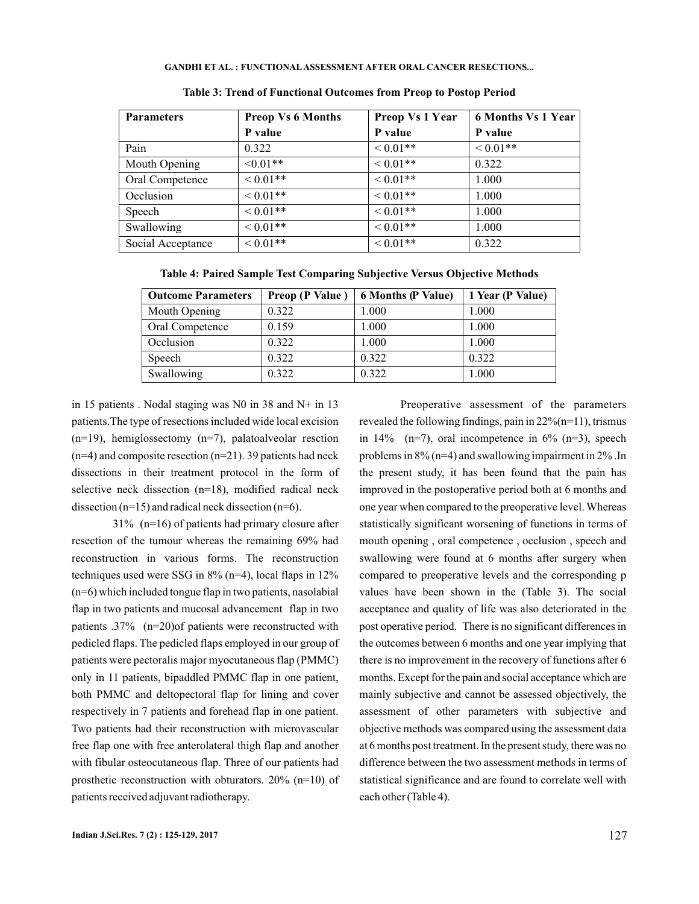#### **GANDHI ET AL. : FUNCTIONAL ASSESSMENT AFTER ORAL CANCER RESECTIONS...**

| <b>Parameters</b> | <b>Preop Vs 6 Months</b> | Preop Vs 1 Year | <b>6 Months Vs 1 Year</b> |
|-------------------|--------------------------|-----------------|---------------------------|
|                   | P value                  | P value         | P value                   |
| Pain              | 0.322                    | ${}<0.01**$     | ${}_{0.01**}$             |
| Mouth Opening     | $\leq 0.01$ **           | $< 0.01**$      | 0.322                     |
| Oral Competence   | $0.01**$                 | $0.01**$        | 1.000                     |
| Occlusion         | $< 0.01**$               | ${}<0.01**$     | 1.000                     |
| Speech            | $< 0.01**$               | ${}_{0.01**}$   | 1.000                     |
| Swallowing        | $< 0.01**$               | ${}<0.01**$     | 1.000                     |
| Social Acceptance | $0.01**$                 | ${}<0.01**$     | 0.322                     |

**Table 3: Trend of Functional Outcomes from Preop to Postop Period**

**Table 4: Paired Sample Test Comparing Subjective Versus Objective Methods**

| <b>Outcome Parameters</b> | Preop (P Value) | <b>6 Months (P Value)</b> | 1 Year (P Value) |
|---------------------------|-----------------|---------------------------|------------------|
| Mouth Opening             | 0.322           | 1.000                     | 1.000            |
| Oral Competence           | 0.159           | 1.000                     | 1.000            |
| Occlusion                 | 0.322           | 1.000                     | 1.000            |
| Speech                    | 0.322           | 0.322                     | 0.322            |
| Swallowing                | 0.322           | 0.322                     | 1.000            |

in 15 patients . Nodal staging was N0 in 38 and N+ in 13 patients.The type of resections included wide local excision (n=19), hemiglossectomy (n=7), palatoalveolar resction  $(n=4)$  and composite resection  $(n=21)$ . 39 patients had neck dissections in their treatment protocol in the form of selective neck dissection (n=18), modified radical neck dissection  $(n=15)$  and radical neck dissection  $(n=6)$ .

 $31\%$  (n=16) of patients had primary closure after resection of the tumour whereas the remaining 69% had reconstruction in various forms. The reconstruction techniques used were SSG in 8% (n=4), local flaps in 12% (n=6) which included tongue flap in two patients, nasolabial flap in two patients and mucosal advancement flap in two patients .37% (n=20)of patients were reconstructed with pedicled flaps. The pedicled flaps employed in our group of patients were pectoralis major myocutaneous flap (PMMC) only in 11 patients, bipaddled PMMC flap in one patient, both PMMC and deltopectoral flap for lining and cover respectively in 7 patients and forehead flap in one patient. Two patients had their reconstruction with microvascular free flap one with free anterolateral thigh flap and another with fibular osteocutaneous flap. Three of our patients had prosthetic reconstruction with obturators. 20% (n=10) of patients received adjuvant radiotherapy.

Preoperative assessment of the parameters revealed the following findings, pain in  $22\%$  (n=11), trismus in 14%  $(n=7)$ , oral incompetence in 6%  $(n=3)$ , speech problems in 8% (n=4) and swallowing impairment in 2% .In the present study, it has been found that the pain has improved in the postoperative period both at 6 months and one year when compared to the preoperative level. Whereas statistically significant worsening of functions in terms of mouth opening , oral competence , occlusion , speech and swallowing were found at 6 months after surgery when compared to preoperative levels and the corresponding p values have been shown in the (Table 3). The social acceptance and quality of life was also deteriorated in the post operative period. There is no significant differences in the outcomes between 6 months and one year implying that there is no improvement in the recovery of functions after 6 months. Except for the pain and social acceptance which are mainly subjective and cannot be assessed objectively, the assessment of other parameters with subjective and objective methods was compared using the assessment data at 6 months post treatment. In the present study, there was no difference between the two assessment methods in terms of statistical significance and are found to correlate well with each other (Table 4).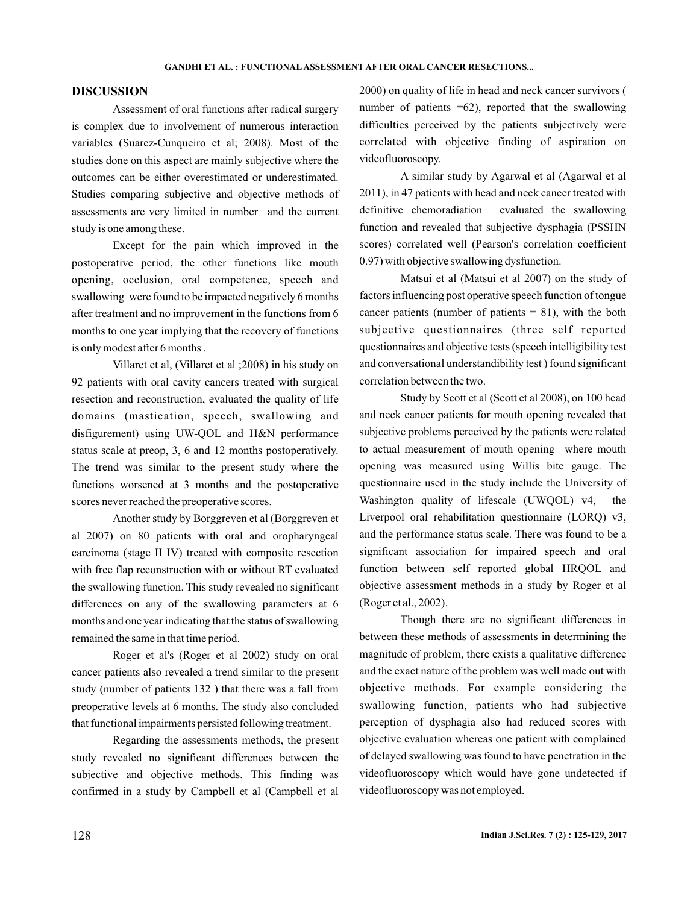# **DISCUSSION**

Assessment of oral functions after radical surgery is complex due to involvement of numerous interaction variables (Suarez-Cunqueiro et al; 2008). Most of the studies done on this aspect are mainly subjective where the outcomes can be either overestimated or underestimated. Studies comparing subjective and objective methods of assessments are very limited in number and the current study is one among these.

Except for the pain which improved in the postoperative period, the other functions like mouth opening, occlusion, oral competence, speech and swallowing were found to be impacted negatively 6 months after treatment and no improvement in the functions from 6 months to one year implying that the recovery of functions is only modest after 6 months .

Villaret et al, (Villaret et al ;2008) in his study on 92 patients with oral cavity cancers treated with surgical resection and reconstruction, evaluated the quality of life domains (mastication, speech, swallowing and disfigurement) using UW-QOL and H&N performance status scale at preop, 3, 6 and 12 months postoperatively. The trend was similar to the present study where the functions worsened at 3 months and the postoperative scores never reached the preoperative scores.

Another study by Borggreven et al (Borggreven et al 2007) on 80 patients with oral and oropharyngeal carcinoma (stage II IV) treated with composite resection with free flap reconstruction with or without RT evaluated the swallowing function. This study revealed no significant differences on any of the swallowing parameters at 6 months and one year indicating that the status of swallowing remained the same in that time period.

Roger et al's (Roger et al 2002) study on oral cancer patients also revealed a trend similar to the present study (number of patients 132 ) that there was a fall from preoperative levels at 6 months. The study also concluded that functional impairments persisted following treatment.

Regarding the assessments methods, the present study revealed no significant differences between the subjective and objective methods. This finding was confirmed in a study by Campbell et al (Campbell et al

2000) on quality of life in head and neck cancer survivors ( number of patients  $=62$ ), reported that the swallowing difficulties perceived by the patients subjectively were correlated with objective finding of aspiration on videofluoroscopy.

A similar study by Agarwal et al (Agarwal et al 2011), in 47 patients with head and neck cancer treated with definitive chemoradiation evaluated the swallowing function and revealed that subjective dysphagia (PSSHN scores) correlated well (Pearson's correlation coefficient 0.97) with objective swallowing dysfunction.

Matsui et al (Matsui et al 2007) on the study of factors influencing post operative speech function of tongue cancer patients (number of patients  $= 81$ ), with the both subjective questionnaires (three self reported questionnaires and objective tests (speech intelligibility test and conversational understandibility test ) found significant correlation between the two.

Study by Scott et al (Scott et al 2008), on 100 head and neck cancer patients for mouth opening revealed that subjective problems perceived by the patients were related to actual measurement of mouth opening where mouth opening was measured using Willis bite gauge. The questionnaire used in the study include the University of Washington quality of lifescale (UWQOL) v4, the Liverpool oral rehabilitation questionnaire (LORQ) v3, and the performance status scale. There was found to be a significant association for impaired speech and oral function between self reported global HRQOL and objective assessment methods in a study by Roger et al (Roger et al., 2002).

Though there are no significant differences in between these methods of assessments in determining the magnitude of problem, there exists a qualitative difference and the exact nature of the problem was well made out with objective methods. For example considering the swallowing function, patients who had subjective perception of dysphagia also had reduced scores with objective evaluation whereas one patient with complained of delayed swallowing was found to have penetration in the videofluoroscopy which would have gone undetected if videofluoroscopy was not employed.